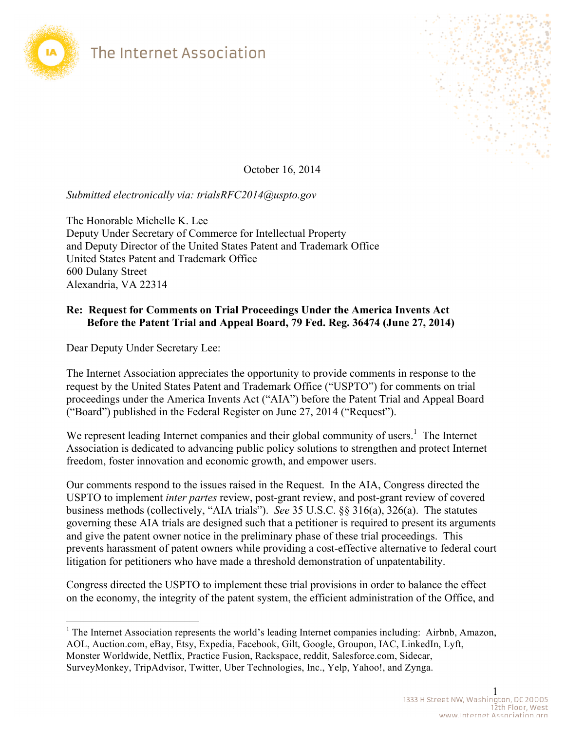



October 16, 2014

## *Submitted electronically via: trialsRFC2014@uspto.gov*

The Honorable Michelle K. Lee Deputy Under Secretary of Commerce for Intellectual Property and Deputy Director of the United States Patent and Trademark Office United States Patent and Trademark Office 600 Dulany Street Alexandria, VA 22314

### **Re: Request for Comments on Trial Proceedings Under the America Invents Act Before the Patent Trial and Appeal Board, 79 Fed. Reg. 36474 (June 27, 2014)**

Dear Deputy Under Secretary Lee:

 $\overline{a}$ 

The Internet Association appreciates the opportunity to provide comments in response to the request by the United States Patent and Trademark Office ("USPTO") for comments on trial proceedings under the America Invents Act ("AIA") before the Patent Trial and Appeal Board ("Board") published in the Federal Register on June 27, 2014 ("Request").

We represent leading Internet companies and their global community of users.<sup>1</sup> The Internet Association is dedicated to advancing public policy solutions to strengthen and protect Internet freedom, foster innovation and economic growth, and empower users.

Our comments respond to the issues raised in the Request. In the AIA, Congress directed the USPTO to implement *inter partes* review, post-grant review, and post-grant review of covered business methods (collectively, "AIA trials"). *See* 35 U.S.C. §§ 316(a), 326(a). The statutes governing these AIA trials are designed such that a petitioner is required to present its arguments and give the patent owner notice in the preliminary phase of these trial proceedings. This prevents harassment of patent owners while providing a cost-effective alternative to federal court litigation for petitioners who have made a threshold demonstration of unpatentability.

Congress directed the USPTO to implement these trial provisions in order to balance the effect on the economy, the integrity of the patent system, the efficient administration of the Office, and

<sup>&</sup>lt;sup>1</sup> The Internet Association represents the world's leading Internet companies including: Airbnb, Amazon, AOL, Auction.com, eBay, Etsy, Expedia, Facebook, Gilt, Google, Groupon, IAC, LinkedIn, Lyft, Monster Worldwide, Netflix, Practice Fusion, Rackspace, reddit, Salesforce.com, Sidecar, SurveyMonkey, TripAdvisor, Twitter, Uber Technologies, Inc., Yelp, Yahoo!, and Zynga.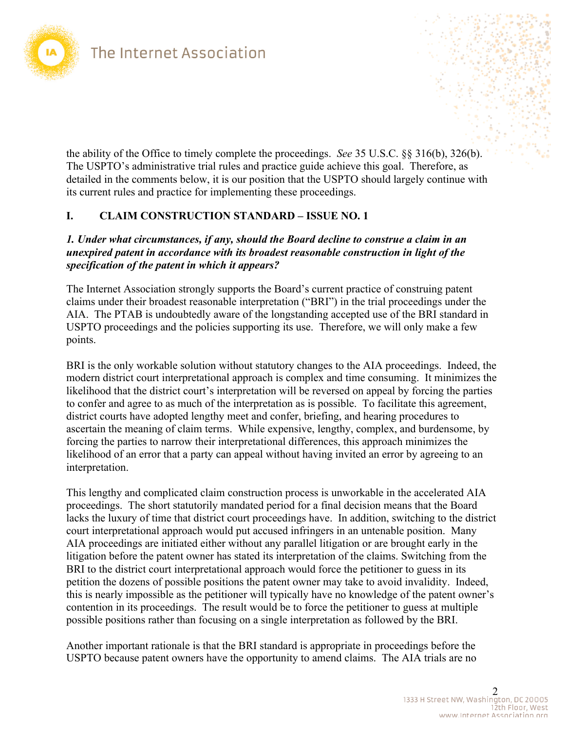

the ability of the Office to timely complete the proceedings. *See* 35 U.S.C. §§ 316(b), 326(b). The USPTO's administrative trial rules and practice guide achieve this goal. Therefore, as detailed in the comments below, it is our position that the USPTO should largely continue with its current rules and practice for implementing these proceedings.

## **I. CLAIM CONSTRUCTION STANDARD – ISSUE NO. 1**

### *1. Under what circumstances, if any, should the Board decline to construe a claim in an unexpired patent in accordance with its broadest reasonable construction in light of the specification of the patent in which it appears?*

The Internet Association strongly supports the Board's current practice of construing patent claims under their broadest reasonable interpretation ("BRI") in the trial proceedings under the AIA. The PTAB is undoubtedly aware of the longstanding accepted use of the BRI standard in USPTO proceedings and the policies supporting its use. Therefore, we will only make a few points.

BRI is the only workable solution without statutory changes to the AIA proceedings. Indeed, the modern district court interpretational approach is complex and time consuming. It minimizes the likelihood that the district court's interpretation will be reversed on appeal by forcing the parties to confer and agree to as much of the interpretation as is possible. To facilitate this agreement, district courts have adopted lengthy meet and confer, briefing, and hearing procedures to ascertain the meaning of claim terms. While expensive, lengthy, complex, and burdensome, by forcing the parties to narrow their interpretational differences, this approach minimizes the likelihood of an error that a party can appeal without having invited an error by agreeing to an interpretation.

This lengthy and complicated claim construction process is unworkable in the accelerated AIA proceedings. The short statutorily mandated period for a final decision means that the Board lacks the luxury of time that district court proceedings have. In addition, switching to the district court interpretational approach would put accused infringers in an untenable position. Many AIA proceedings are initiated either without any parallel litigation or are brought early in the litigation before the patent owner has stated its interpretation of the claims. Switching from the BRI to the district court interpretational approach would force the petitioner to guess in its petition the dozens of possible positions the patent owner may take to avoid invalidity. Indeed, this is nearly impossible as the petitioner will typically have no knowledge of the patent owner's contention in its proceedings. The result would be to force the petitioner to guess at multiple possible positions rather than focusing on a single interpretation as followed by the BRI.

Another important rationale is that the BRI standard is appropriate in proceedings before the USPTO because patent owners have the opportunity to amend claims. The AIA trials are no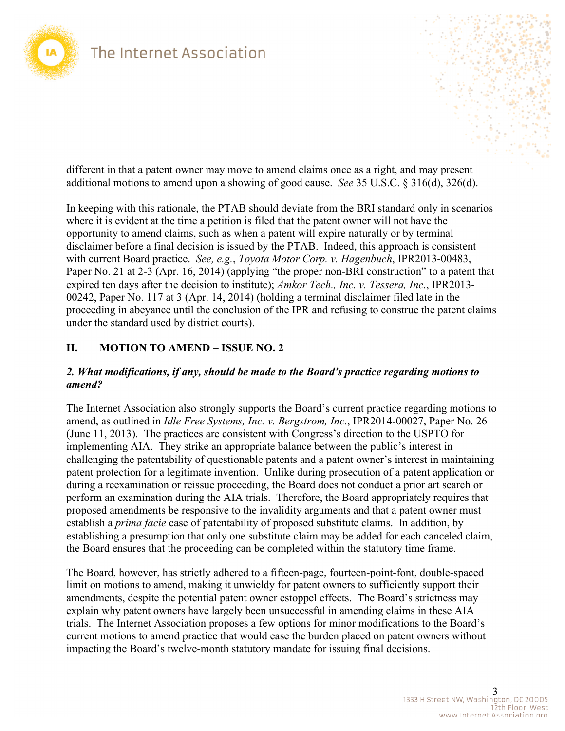

different in that a patent owner may move to amend claims once as a right, and may present additional motions to amend upon a showing of good cause. *See* 35 U.S.C. § 316(d), 326(d).

In keeping with this rationale, the PTAB should deviate from the BRI standard only in scenarios where it is evident at the time a petition is filed that the patent owner will not have the opportunity to amend claims, such as when a patent will expire naturally or by terminal disclaimer before a final decision is issued by the PTAB. Indeed, this approach is consistent with current Board practice. *See, e.g.*, *Toyota Motor Corp. v. Hagenbuch*, IPR2013-00483, Paper No. 21 at 2-3 (Apr. 16, 2014) (applying "the proper non-BRI construction" to a patent that expired ten days after the decision to institute); *Amkor Tech., Inc. v. Tessera, Inc.*, IPR2013- 00242, Paper No. 117 at 3 (Apr. 14, 2014) (holding a terminal disclaimer filed late in the proceeding in abeyance until the conclusion of the IPR and refusing to construe the patent claims under the standard used by district courts).

## **II. MOTION TO AMEND – ISSUE NO. 2**

#### *2. What modifications, if any, should be made to the Board's practice regarding motions to amend?*

The Internet Association also strongly supports the Board's current practice regarding motions to amend, as outlined in *Idle Free Systems, Inc. v. Bergstrom, Inc.*, IPR2014-00027, Paper No. 26 (June 11, 2013). The practices are consistent with Congress's direction to the USPTO for implementing AIA. They strike an appropriate balance between the public's interest in challenging the patentability of questionable patents and a patent owner's interest in maintaining patent protection for a legitimate invention. Unlike during prosecution of a patent application or during a reexamination or reissue proceeding, the Board does not conduct a prior art search or perform an examination during the AIA trials. Therefore, the Board appropriately requires that proposed amendments be responsive to the invalidity arguments and that a patent owner must establish a *prima facie* case of patentability of proposed substitute claims. In addition, by establishing a presumption that only one substitute claim may be added for each canceled claim, the Board ensures that the proceeding can be completed within the statutory time frame.

The Board, however, has strictly adhered to a fifteen-page, fourteen-point-font, double-spaced limit on motions to amend, making it unwieldy for patent owners to sufficiently support their amendments, despite the potential patent owner estoppel effects. The Board's strictness may explain why patent owners have largely been unsuccessful in amending claims in these AIA trials. The Internet Association proposes a few options for minor modifications to the Board's current motions to amend practice that would ease the burden placed on patent owners without impacting the Board's twelve-month statutory mandate for issuing final decisions.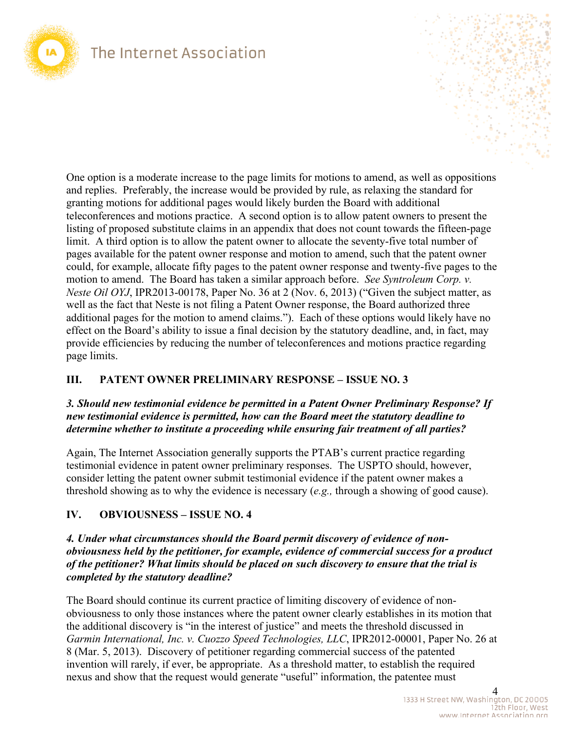

 listing of proposed substitute claims in an appendix that does not count towards the fifteen-page One option is a moderate increase to the page limits for motions to amend, as well as oppositions and replies. Preferably, the increase would be provided by rule, as relaxing the standard for granting motions for additional pages would likely burden the Board with additional teleconferences and motions practice. A second option is to allow patent owners to present the limit. A third option is to allow the patent owner to allocate the seventy-five total number of pages available for the patent owner response and motion to amend, such that the patent owner could, for example, allocate fifty pages to the patent owner response and twenty-five pages to the motion to amend. The Board has taken a similar approach before. *See Syntroleum Corp. v. Neste Oil OYJ*, IPR2013-00178, Paper No. 36 at 2 (Nov. 6, 2013) ("Given the subject matter, as well as the fact that Neste is not filing a Patent Owner response, the Board authorized three additional pages for the motion to amend claims."). Each of these options would likely have no effect on the Board's ability to issue a final decision by the statutory deadline, and, in fact, may provide efficiencies by reducing the number of teleconferences and motions practice regarding page limits.

### **III. PATENT OWNER PRELIMINARY RESPONSE – ISSUE NO. 3**

#### *3. Should new testimonial evidence be permitted in a Patent Owner Preliminary Response? If new testimonial evidence is permitted, how can the Board meet the statutory deadline to determine whether to institute a proceeding while ensuring fair treatment of all parties?*

Again, The Internet Association generally supports the PTAB's current practice regarding testimonial evidence in patent owner preliminary responses. The USPTO should, however, consider letting the patent owner submit testimonial evidence if the patent owner makes a threshold showing as to why the evidence is necessary (*e.g.,* through a showing of good cause).

### **IV. OBVIOUSNESS – ISSUE NO. 4**

### *4. Under what circumstances should the Board permit discovery of evidence of nonobviousness held by the petitioner, for example, evidence of commercial success for a product of the petitioner? What limits should be placed on such discovery to ensure that the trial is completed by the statutory deadline?*

nexus and show that the request would generate "useful" information, the patentee must 4 The Board should continue its current practice of limiting discovery of evidence of nonobviousness to only those instances where the patent owner clearly establishes in its motion that the additional discovery is "in the interest of justice" and meets the threshold discussed in *Garmin International, Inc. v. Cuozzo Speed Technologies, LLC*, IPR2012-00001, Paper No. 26 at 8 (Mar. 5, 2013). Discovery of petitioner regarding commercial success of the patented invention will rarely, if ever, be appropriate. As a threshold matter, to establish the required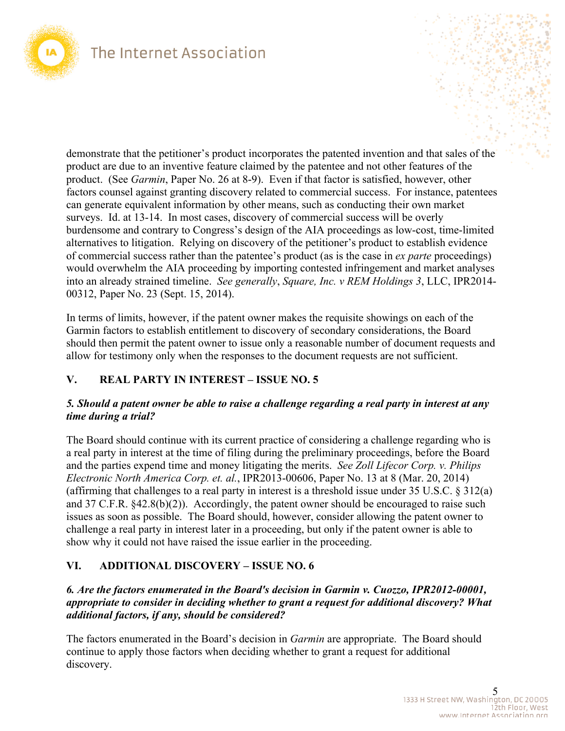

demonstrate that the petitioner's product incorporates the patented invention and that sales of the product are due to an inventive feature claimed by the patentee and not other features of the product. (See *Garmin*, Paper No. 26 at 8-9). Even if that factor is satisfied, however, other factors counsel against granting discovery related to commercial success. For instance, patentees can generate equivalent information by other means, such as conducting their own market surveys. Id. at 13-14. In most cases, discovery of commercial success will be overly burdensome and contrary to Congress's design of the AIA proceedings as low-cost, time-limited alternatives to litigation. Relying on discovery of the petitioner's product to establish evidence of commercial success rather than the patentee's product (as is the case in *ex parte* proceedings) would overwhelm the AIA proceeding by importing contested infringement and market analyses into an already strained timeline. *See generally*, *Square, Inc. v REM Holdings 3*, LLC, IPR2014- 00312, Paper No. 23 (Sept. 15, 2014).

In terms of limits, however, if the patent owner makes the requisite showings on each of the Garmin factors to establish entitlement to discovery of secondary considerations, the Board should then permit the patent owner to issue only a reasonable number of document requests and allow for testimony only when the responses to the document requests are not sufficient.

## **V. REAL PARTY IN INTEREST – ISSUE NO. 5**

## *5. Should a patent owner be able to raise a challenge regarding a real party in interest at any time during a trial?*

and 37 C.F.R. §42.8(b)(2)). Accordingly, the patent owner should be encouraged to raise such The Board should continue with its current practice of considering a challenge regarding who is a real party in interest at the time of filing during the preliminary proceedings, before the Board and the parties expend time and money litigating the merits. *See Zoll Lifecor Corp. v. Philips Electronic North America Corp. et. al.*, IPR2013-00606, Paper No. 13 at 8 (Mar. 20, 2014) (affirming that challenges to a real party in interest is a threshold issue under 35 U.S.C. § 312(a) issues as soon as possible. The Board should, however, consider allowing the patent owner to challenge a real party in interest later in a proceeding, but only if the patent owner is able to show why it could not have raised the issue earlier in the proceeding.

## **VI. ADDITIONAL DISCOVERY – ISSUE NO. 6**

## *6. Are the factors enumerated in the Board's decision in Garmin v. Cuozzo, IPR2012-00001, appropriate to consider in deciding whether to grant a request for additional discovery? What additional factors, if any, should be considered?*

The factors enumerated in the Board's decision in *Garmin* are appropriate. The Board should continue to apply those factors when deciding whether to grant a request for additional discovery.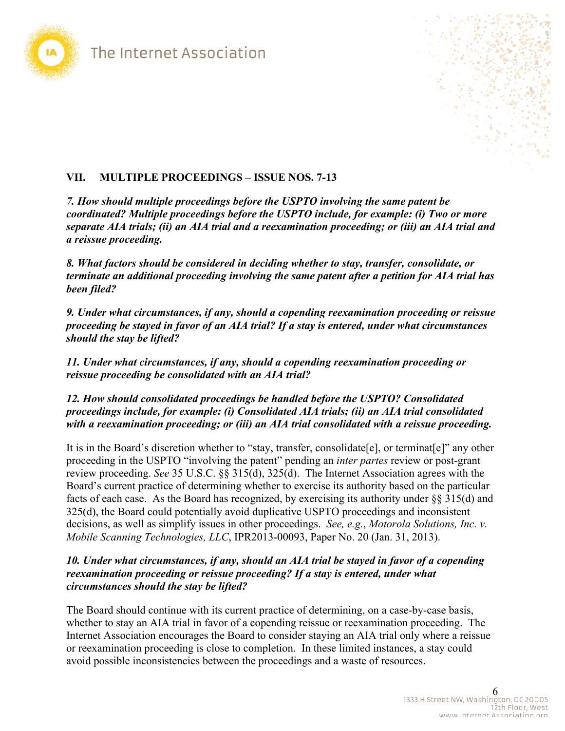



## **VII. MULTIPLE PROCEEDINGS – ISSUE NOS. 7-13**

*7. How should multiple proceedings before the USPTO involving the same patent be coordinated? Multiple proceedings before the USPTO include, for example: (i) Two or more separate AIA trials; (ii) an AIA trial and a reexamination proceeding; or (iii) an AIA trial and a reissue proceeding.* 

*8. What factors should be considered in deciding whether to stay, transfer, consolidate, or terminate an additional proceeding involving the same patent after a petition for AIA trial has been filed?* 

*9. Under what circumstances, if any, should a copending reexamination proceeding or reissue proceeding be stayed in favor of an AIA trial? If a stay is entered, under what circumstances should the stay be lifted?* 

*11. Under what circumstances, if any, should a copending reexamination proceeding or reissue proceeding be consolidated with an AIA trial?* 

*12. How should consolidated proceedings be handled before the USPTO? Consolidated proceedings include, for example: (i) Consolidated AIA trials; (ii) an AIA trial consolidated with a reexamination proceeding; or (iii) an AIA trial consolidated with a reissue proceeding.* 

 review proceeding. *See* 35 U.S.C. §§ 315(d), 325(d). The Internet Association agrees with the It is in the Board's discretion whether to "stay, transfer, consolidate [e], or terminat [e]" any other proceeding in the USPTO "involving the patent" pending an *inter partes* review or post-grant Board's current practice of determining whether to exercise its authority based on the particular facts of each case. As the Board has recognized, by exercising its authority under §§ 315(d) and 325(d), the Board could potentially avoid duplicative USPTO proceedings and inconsistent decisions, as well as simplify issues in other proceedings. *See, e.g.*, *Motorola Solutions, Inc. v. Mobile Scanning Technologies, LLC*, IPR2013-00093, Paper No. 20 (Jan. 31, 2013).

### *10. Under what circumstances, if any, should an AIA trial be stayed in favor of a copending reexamination proceeding or reissue proceeding? If a stay is entered, under what circumstances should the stay be lifted?*

The Board should continue with its current practice of determining, on a case-by-case basis, whether to stay an AIA trial in favor of a copending reissue or reexamination proceeding. The Internet Association encourages the Board to consider staying an AIA trial only where a reissue or reexamination proceeding is close to completion. In these limited instances, a stay could avoid possible inconsistencies between the proceedings and a waste of resources.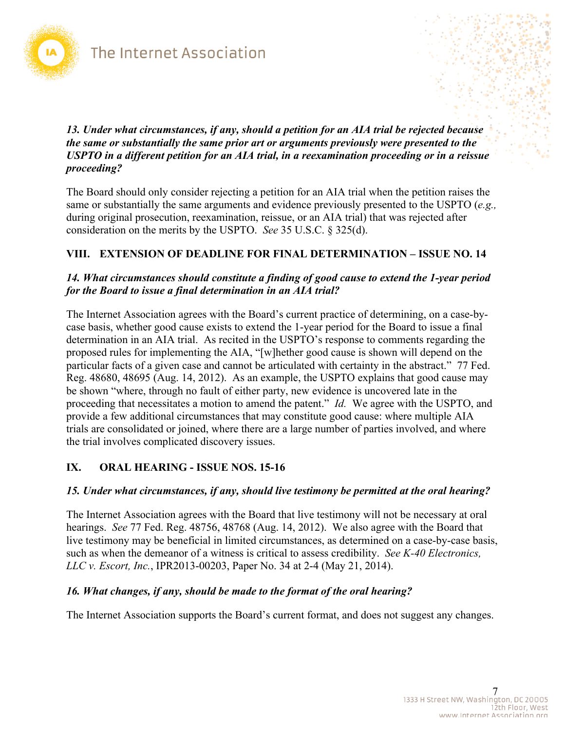

*13. Under what circumstances, if any, should a petition for an AIA trial be rejected because the same or substantially the same prior art or arguments previously were presented to the USPTO in a different petition for an AIA trial, in a reexamination proceeding or in a reissue proceeding?* 

The Board should only consider rejecting a petition for an AIA trial when the petition raises the same or substantially the same arguments and evidence previously presented to the USPTO (*e.g.,*  during original prosecution, reexamination, reissue, or an AIA trial) that was rejected after consideration on the merits by the USPTO. *See* 35 U.S.C. § 325(d).

## **VIII. EXTENSION OF DEADLINE FOR FINAL DETERMINATION – ISSUE NO. 14**

#### *14. What circumstances should constitute a finding of good cause to extend the 1-year period for the Board to issue a final determination in an AIA trial?*

 proceeding that necessitates a motion to amend the patent." *Id.* We agree with the USPTO, and The Internet Association agrees with the Board's current practice of determining, on a case-bycase basis, whether good cause exists to extend the 1-year period for the Board to issue a final determination in an AIA trial. As recited in the USPTO's response to comments regarding the proposed rules for implementing the AIA, "[w]hether good cause is shown will depend on the particular facts of a given case and cannot be articulated with certainty in the abstract." 77 Fed. Reg. 48680, 48695 (Aug. 14, 2012). As an example, the USPTO explains that good cause may be shown "where, through no fault of either party, new evidence is uncovered late in the provide a few additional circumstances that may constitute good cause: where multiple AIA trials are consolidated or joined, where there are a large number of parties involved, and where the trial involves complicated discovery issues.

## **IX. ORAL HEARING - ISSUE NOS. 15-16**

#### *15. Under what circumstances, if any, should live testimony be permitted at the oral hearing?*

The Internet Association agrees with the Board that live testimony will not be necessary at oral hearings. *See* 77 Fed. Reg. 48756, 48768 (Aug. 14, 2012). We also agree with the Board that live testimony may be beneficial in limited circumstances, as determined on a case-by-case basis, such as when the demeanor of a witness is critical to assess credibility. *See K-40 Electronics, LLC v. Escort, Inc.*, IPR2013-00203, Paper No. 34 at 2-4 (May 21, 2014).

### *16. What changes, if any, should be made to the format of the oral hearing?*

The Internet Association supports the Board's current format, and does not suggest any changes.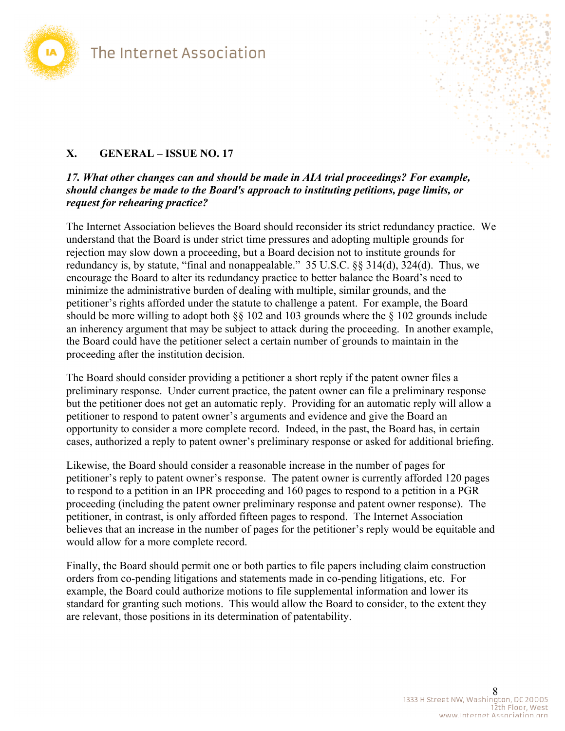

### **X. GENERAL – ISSUE NO. 17**

#### *17. What other changes can and should be made in AIA trial proceedings? For example, should changes be made to the Board's approach to instituting petitions, page limits, or request for rehearing practice?*

The Internet Association believes the Board should reconsider its strict redundancy practice. We understand that the Board is under strict time pressures and adopting multiple grounds for rejection may slow down a proceeding, but a Board decision not to institute grounds for redundancy is, by statute, "final and nonappealable." 35 U.S.C. §§ 314(d), 324(d). Thus, we encourage the Board to alter its redundancy practice to better balance the Board's need to minimize the administrative burden of dealing with multiple, similar grounds, and the petitioner's rights afforded under the statute to challenge a patent. For example, the Board should be more willing to adopt both §§ 102 and 103 grounds where the § 102 grounds include an inherency argument that may be subject to attack during the proceeding. In another example, the Board could have the petitioner select a certain number of grounds to maintain in the proceeding after the institution decision.

The Board should consider providing a petitioner a short reply if the patent owner files a preliminary response. Under current practice, the patent owner can file a preliminary response but the petitioner does not get an automatic reply. Providing for an automatic reply will allow a petitioner to respond to patent owner's arguments and evidence and give the Board an opportunity to consider a more complete record. Indeed, in the past, the Board has, in certain cases, authorized a reply to patent owner's preliminary response or asked for additional briefing.

Likewise, the Board should consider a reasonable increase in the number of pages for petitioner's reply to patent owner's response. The patent owner is currently afforded 120 pages to respond to a petition in an IPR proceeding and 160 pages to respond to a petition in a PGR proceeding (including the patent owner preliminary response and patent owner response). The petitioner, in contrast, is only afforded fifteen pages to respond. The Internet Association believes that an increase in the number of pages for the petitioner's reply would be equitable and would allow for a more complete record.

Finally, the Board should permit one or both parties to file papers including claim construction orders from co-pending litigations and statements made in co-pending litigations, etc. For example, the Board could authorize motions to file supplemental information and lower its standard for granting such motions. This would allow the Board to consider, to the extent they are relevant, those positions in its determination of patentability.